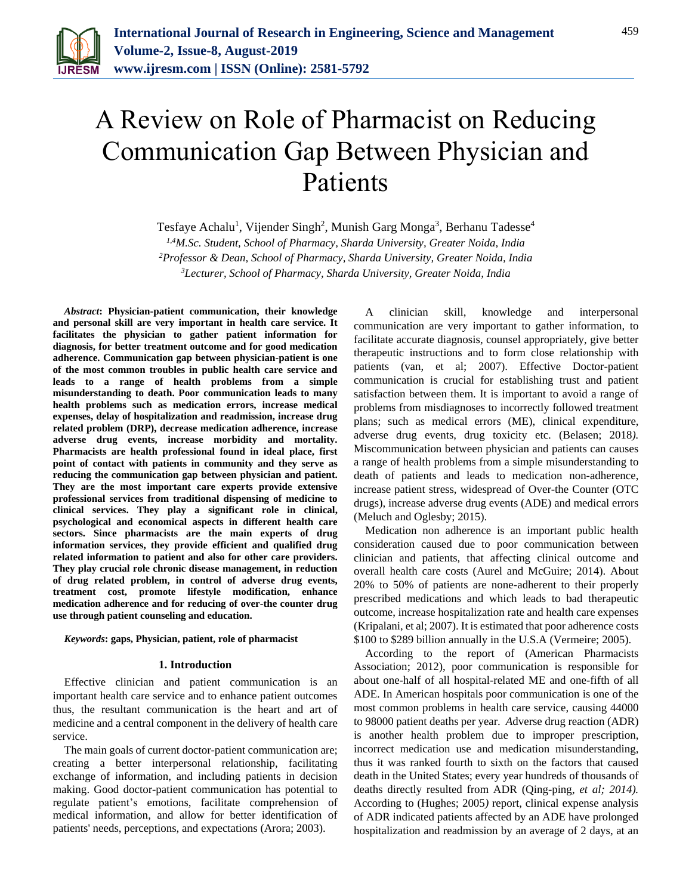

# A Review on Role of Pharmacist on Reducing Communication Gap Between Physician and Patients

Tesfaye Achalu<sup>1</sup>, Vijender Singh<sup>2</sup>, Munish Garg Monga<sup>3</sup>, Berhanu Tadesse<sup>4</sup>

*1,4M.Sc. Student, School of Pharmacy, Sharda University, Greater Noida, India <sup>2</sup>Professor & Dean, School of Pharmacy, Sharda University, Greater Noida, India*

*3Lecturer, School of Pharmacy, Sharda University, Greater Noida, India*

*Abstract***: Physician-patient communication, their knowledge and personal skill are very important in health care service. It facilitates the physician to gather patient information for diagnosis, for better treatment outcome and for good medication adherence. Communication gap between physician-patient is one of the most common troubles in public health care service and leads to a range of health problems from a simple misunderstanding to death. Poor communication leads to many health problems such as medication errors, increase medical expenses, delay of hospitalization and readmission, increase drug related problem (DRP), decrease medication adherence, increase adverse drug events, increase morbidity and mortality. Pharmacists are health professional found in ideal place, first point of contact with patients in community and they serve as reducing the communication gap between physician and patient. They are the most important care experts provide extensive professional services from traditional dispensing of medicine to clinical services. They play a significant role in clinical, psychological and economical aspects in different health care sectors. Since pharmacists are the main experts of drug information services, they provide efficient and qualified drug related information to patient and also for other care providers. They play crucial role chronic disease management, in reduction of drug related problem, in control of adverse drug events, treatment cost, promote lifestyle modification, enhance medication adherence and for reducing of over-the counter drug use through patient counseling and education.**

#### *Keywords***: gaps, Physician, patient, role of pharmacist**

#### **1. Introduction**

Effective clinician and patient communication is an important health care service and to enhance patient outcomes thus, the resultant communication is the heart and art of medicine and a central component in the delivery of health care service.

The main goals of current doctor-patient communication are; creating a better interpersonal relationship, facilitating exchange of information, and including patients in decision making. Good doctor-patient communication has potential to regulate patient's emotions, facilitate comprehension of medical information, and allow for better identification of patients' needs, perceptions, and expectations (Arora; 2003).

A clinician skill, knowledge and interpersonal communication are very important to gather information, to facilitate accurate diagnosis, counsel appropriately, give better therapeutic instructions and to form close relationship with patients (van, et al; 2007). Effective Doctor-patient communication is crucial for establishing trust and patient satisfaction between them. It is important to avoid a range of problems from misdiagnoses to incorrectly followed treatment plans; such as medical errors (ME), clinical expenditure, adverse drug events, drug toxicity etc. (Belasen; 2018*).* Miscommunication between physician and patients can causes a range of health problems from a simple misunderstanding to death of patients and leads to medication non-adherence, increase patient stress, widespread of Over-the Counter (OTC drugs), increase adverse drug events (ADE) and medical errors (Meluch and Oglesby; 2015).

Medication non adherence is an important public health consideration caused due to poor communication between clinician and patients, that affecting clinical outcome and overall health care costs (Aurel and McGuire; 2014). About 20% to 50% of patients are none-adherent to their properly prescribed medications and which leads to bad therapeutic outcome, increase hospitalization rate and health care expenses (Kripalani, et al; 2007). It is estimated that poor adherence costs \$100 to \$289 billion annually in the U.S.A (Vermeire; 2005).

According to the report of (American Pharmacists Association; 2012), poor communication is responsible for about one-half of all hospital-related ME and one-fifth of all ADE. In American hospitals poor communication is one of the most common problems in health care service, causing 44000 to 98000 patient deaths per year. *A*dverse drug reaction (ADR) is another health problem due to improper prescription, incorrect medication use and medication misunderstanding, thus it was ranked fourth to sixth on the factors that caused death in the United States; every year hundreds of thousands of deaths directly resulted from ADR (Qing-ping, *et al; 2014).* According to (Hughes; 2005*)* report, clinical expense analysis of ADR indicated patients affected by an ADE have prolonged hospitalization and readmission by an average of 2 days, at an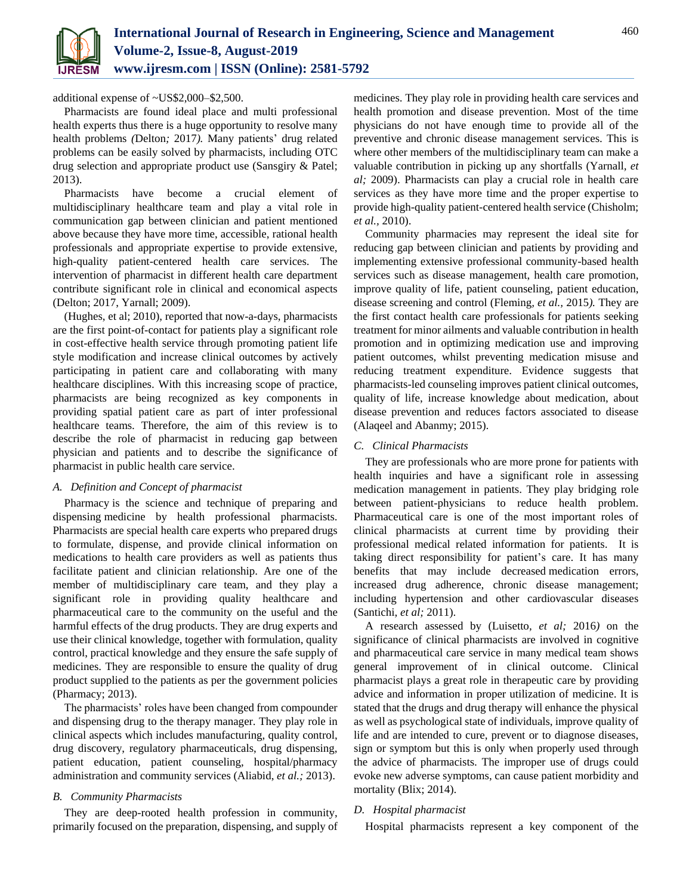

additional expense of ~US\$2,000–\$2,500.

Pharmacists are found ideal place and multi professional health experts thus there is a huge opportunity to resolve many health problems *(*Delton*;* 2017*).* Many patients' drug related problems can be easily solved by pharmacists, including OTC drug selection and appropriate product use (Sansgiry & Patel; 2013).

Pharmacists have become a crucial element of multidisciplinary healthcare team and play a vital role in communication gap between clinician and patient mentioned above because they have more time, accessible, rational health professionals and appropriate expertise to provide extensive, high-quality patient-centered health care services. The intervention of pharmacist in different health care department contribute significant role in clinical and economical aspects (Delton; 2017, Yarnall; 2009).

(Hughes, et al; 2010), reported that now-a-days, pharmacists are the first point-of-contact for patients play a significant role in cost-effective health service through promoting patient life style modification and increase clinical outcomes by actively participating in patient care and collaborating with many healthcare disciplines. With this increasing scope of practice, pharmacists are being recognized as key components in providing spatial patient care as part of inter professional healthcare teams. Therefore, the aim of this review is to describe the role of pharmacist in reducing gap between physician and patients and to describe the significance of pharmacist in public health care service.

#### *A. Definition and Concept of pharmacist*

Pharmacy is the science and technique of preparing and dispensing medicine by health professional pharmacists. Pharmacists are special health care experts who prepared drugs to formulate, dispense, and provide clinical information on medications to health care providers as well as patients thus facilitate patient and clinician relationship. Are one of the member of multidisciplinary care team, and they play a significant role in providing quality healthcare and pharmaceutical care to the community on the useful and the harmful effects of the drug products. They are drug experts and use their clinical knowledge, together with formulation, quality control, practical knowledge and they ensure the safe supply of medicines. They are responsible to ensure the quality of drug product supplied to the patients as per the government policies (Pharmacy; 2013).

The pharmacists' roles have been changed from compounder and dispensing drug to the therapy manager. They play role in clinical aspects which includes manufacturing, quality control, drug discovery, regulatory pharmaceuticals, drug dispensing, patient education, patient counseling, hospital/pharmacy administration and community services (Aliabid, *et al.;* 2013).

#### *B. Community Pharmacists*

They are deep-rooted health profession in community, primarily focused on the preparation, dispensing, and supply of medicines. They play role in providing health care services and health promotion and disease prevention. Most of the time physicians do not have enough time to provide all of the preventive and chronic disease management services. This is where other members of the multidisciplinary team can make a valuable contribution in picking up any shortfalls (Yarnall*, et al;* 2009). Pharmacists can play a crucial role in health care services as they have more time and the proper expertise to provide high-quality patient-centered health service (Chisholm; *et al.,* 2010).

Community pharmacies may represent the ideal site for reducing gap between clinician and patients by providing and implementing extensive professional community-based health services such as disease management, health care promotion, improve quality of life, patient counseling, patient education, disease screening and control (Fleming*, et al.,* 2015*).* They are the first contact health care professionals for patients seeking treatment for minor ailments and valuable contribution in health promotion and in optimizing medication use and improving patient outcomes, whilst preventing medication misuse and reducing treatment expenditure. Evidence suggests that pharmacists-led counseling improves patient clinical outcomes, quality of life, increase knowledge about medication, about disease prevention and reduces factors associated to disease (Alaqeel and Abanmy; 2015).

## *C. Clinical Pharmacists*

They are professionals who are more prone for patients with health inquiries and have a significant role in assessing medication management in patients. They play bridging role between patient-physicians to reduce health problem. Pharmaceutical care is one of the most important roles of clinical pharmacists at current time by providing their professional medical related information for patients. It is taking direct responsibility for patient's care. It has many benefits that may include decreased [medication errors,](https://en.wikipedia.org/wiki/Medication_error) increased drug adherence, chronic disease management; including hypertension and other cardiovascular diseases (Santichi, *et al;* 2011).

A research assessed by (Luisetto*, et al;* 2016*)* on the significance of clinical pharmacists are involved in cognitive and pharmaceutical care service in many medical team shows general improvement of in clinical outcome. Clinical pharmacist plays a great role in therapeutic care by providing advice and information in proper utilization of medicine. It is stated that the drugs and drug therapy will enhance the physical as well as psychological state of individuals, improve quality of life and are intended to cure, prevent or to diagnose diseases, sign or symptom but this is only when properly used through the advice of pharmacists. The improper use of drugs could evoke new adverse symptoms, can cause patient morbidity and mortality (Blix; 2014).

#### *D. Hospital pharmacist*

Hospital pharmacists represent a key component of the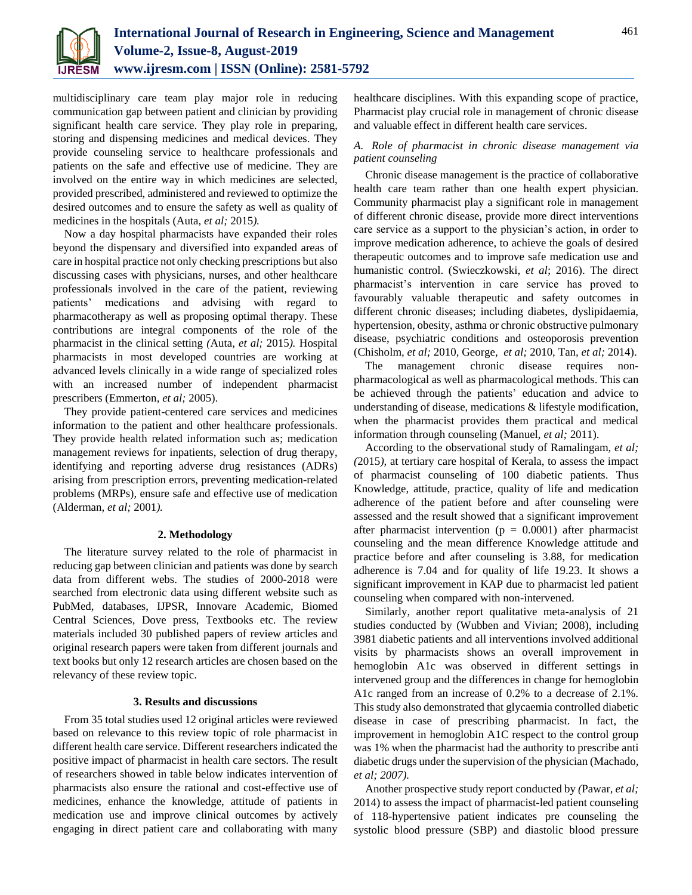

multidisciplinary care team play major role in reducing communication gap between patient and clinician by providing significant health care service. They play role in preparing, storing and dispensing medicines and medical devices. They provide counseling service to healthcare professionals and patients on the safe and effective use of medicine. They are involved on the entire way in which medicines are selected, provided prescribed, administered and reviewed to optimize the desired outcomes and to ensure the safety as well as quality of medicines in the hospitals (Auta*, et al;* 2015*).*

Now a day hospital pharmacists have expanded their roles beyond the dispensary and diversified into expanded areas of care in hospital practice not only checking prescriptions but also discussing cases with physicians, nurses, and other healthcare professionals involved in the care of the patient, reviewing patients' medications and advising with regard to pharmacotherapy as well as proposing optimal therapy. These contributions are integral components of the role of the pharmacist in the clinical setting *(*Auta*, et al;* 2015*).* Hospital pharmacists in most developed countries are working at advanced levels clinically in a wide range of specialized roles with an increased number of independent pharmacist prescribers (Emmerton*, et al;* 2005).

They provide patient-centered care services and medicines information to the patient and other healthcare professionals. They provide health related information such as; medication management reviews for inpatients, selection of drug therapy, identifying and reporting adverse drug resistances (ADRs) arising from prescription errors, preventing medication-related problems (MRPs), ensure safe and effective use of medication (Alderman*, et al;* 2001*).*

#### **2. Methodology**

The literature survey related to the role of pharmacist in reducing gap between clinician and patients was done by search data from different webs. The studies of 2000-2018 were searched from electronic data using different website such as PubMed, databases, IJPSR, Innovare Academic, Biomed Central Sciences, Dove press, Textbooks etc. The review materials included 30 published papers of review articles and original research papers were taken from different journals and text books but only 12 research articles are chosen based on the relevancy of these review topic.

#### **3. Results and discussions**

From 35 total studies used 12 original articles were reviewed based on relevance to this review topic of role pharmacist in different health care service. Different researchers indicated the positive impact of pharmacist in health care sectors. The result of researchers showed in table below indicates intervention of pharmacists also ensure the rational and cost-effective use of medicines, enhance the knowledge, attitude of patients in medication use and improve clinical outcomes by actively engaging in direct patient care and collaborating with many

healthcare disciplines. With this expanding scope of practice, Pharmacist play crucial role in management of chronic disease and valuable effect in different health care services.

#### *A. Role of pharmacist in chronic disease management via patient counseling*

Chronic disease management is the practice of collaborative health care team rather than one health expert physician. Community pharmacist play a significant role in management of different chronic disease, provide more direct interventions care service as a support to the physician's action, in order to improve medication adherence, to achieve the goals of desired therapeutic outcomes and to improve safe medication use and humanistic control. (Swieczkowski*, et al*; 2016). The direct pharmacist's intervention in care service has proved to favourably valuable therapeutic and safety outcomes in different chronic diseases; including diabetes, dyslipidaemia, hypertension, obesity, asthma or chronic obstructive pulmonary disease, psychiatric conditions and osteoporosis prevention (Chisholm*, et al;* 2010*,* George*, et al;* 2010*,* Tan*, et al;* 2014).

The management chronic disease requires nonpharmacological as well as pharmacological methods. This can be achieved through the patients' education and advice to understanding of disease, medications & lifestyle modification, when the pharmacist provides them practical and medical information through counseling (Manuel, *et al;* 2011).

According to the observational study of Ramalingam*, et al; (*2015*),* at tertiary care hospital of Kerala, to assess the impact of pharmacist counseling of 100 diabetic patients. Thus Knowledge, attitude, practice, quality of life and medication adherence of the patient before and after counseling were assessed and the result showed that a significant improvement after pharmacist intervention ( $p = 0.0001$ ) after pharmacist counseling and the mean difference Knowledge attitude and practice before and after counseling is 3.88, for medication adherence is 7.04 and for quality of life 19.23. It shows a significant improvement in KAP due to pharmacist led patient counseling when compared with non-intervened.

Similarly, another report qualitative meta-analysis of 21 studies conducted by (Wubben and Vivian; 2008), including 3981 diabetic patients and all interventions involved additional visits by pharmacists shows an overall improvement in hemoglobin A1c was observed in different settings in intervened group and the differences in change for hemoglobin A1c ranged from an increase of 0.2% to a decrease of 2.1%. This study also demonstrated that glycaemia controlled diabetic disease in case of prescribing pharmacist. In fact, the improvement in hemoglobin A1C respect to the control group was 1% when the pharmacist had the authority to prescribe anti diabetic drugs under the supervision of the physician (Machado*, et al; 2007).*

Another prospective study report conducted by *(*Pawar*, et al;* 2014) to assess the impact of pharmacist-led patient counseling of 118-hypertensive patient indicates pre counseling the systolic blood pressure (SBP) and diastolic blood pressure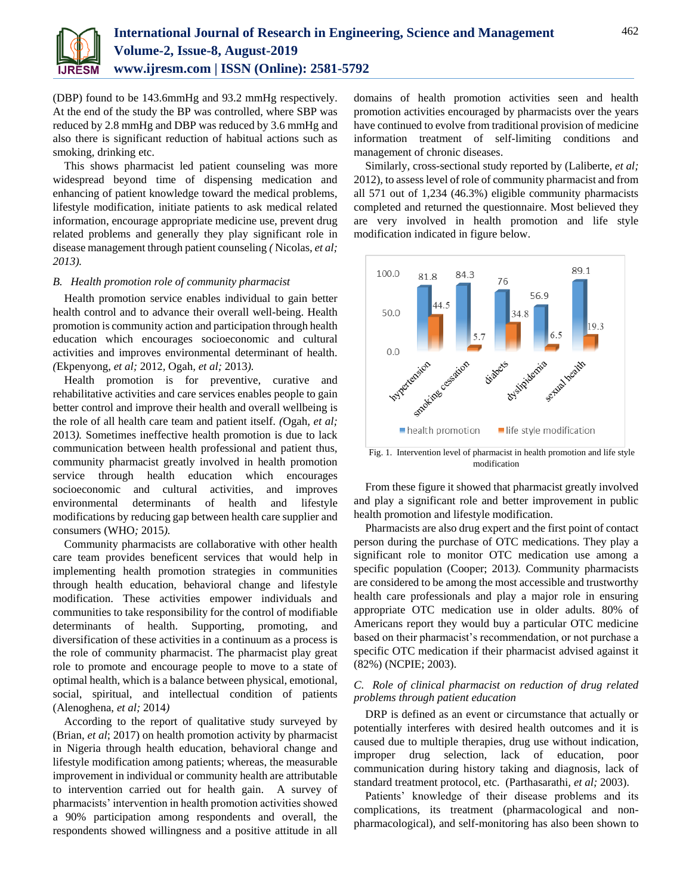

(DBP) found to be 143.6mmHg and 93.2 mmHg respectively. At the end of the study the BP was controlled, where SBP was reduced by 2.8 mmHg and DBP was reduced by 3.6 mmHg and also there is significant reduction of habitual actions such as smoking, drinking etc.

This shows pharmacist led patient counseling was more widespread beyond time of dispensing medication and enhancing of patient knowledge toward the medical problems, lifestyle modification, initiate patients to ask medical related information, encourage appropriate medicine use, prevent drug related problems and generally they play significant role in disease management through patient counseling *(* Nicolas*, et al; 2013).*

#### *B. Health promotion role of community pharmacist*

Health promotion service enables individual to gain better health control and to advance their overall well-being. Health promotion is community action and participation through health education which encourages socioeconomic and cultural activities and improves environmental determinant of health*. (*Ekpenyong, *et al;* 2012*,* Ogah*, et al;* 2013*).* 

Health promotion is for preventive, curative and rehabilitative activities and care services enables people to gain better control and improve their health and overall wellbeing is the role of all health care team and patient itself. *(*Ogah*, et al;* 2013*).* Sometimes ineffective health promotion is due to lack communication between health professional and patient thus, community pharmacist greatly involved in health promotion service through health education which encourages socioeconomic and cultural activities, and improves environmental determinants of health and lifestyle modifications by reducing gap between health care supplier and consumers (WHO*;* 2015*).*

Community pharmacists are collaborative with other health care team provides beneficent services that would help in implementing health promotion strategies in communities through health education, behavioral change and lifestyle modification. These activities empower individuals and communities to take responsibility for the control of modifiable determinants of health. Supporting, promoting, and diversification of these activities in a continuum as a process is the role of community pharmacist. The pharmacist play great role to promote and encourage people to move to a state of optimal health, which is a balance between physical, emotional, social, spiritual, and intellectual condition of patients (Alenoghena, *et al;* 2014*)*

According to the report of qualitative study surveyed by (Brian, *et al*; 2017) on health promotion activity by pharmacist in Nigeria through health education, behavioral change and lifestyle modification among patients; whereas, the measurable improvement in individual or community health are attributable to intervention carried out for health gain. A survey of pharmacists' intervention in health promotion activities showed a 90% participation among respondents and overall, the respondents showed willingness and a positive attitude in all

domains of health promotion activities seen and health promotion activities encouraged by pharmacists over the years have continued to evolve from traditional provision of medicine information treatment of self-limiting conditions and management of chronic diseases.

Similarly, cross-sectional study reported by (Laliberte*, et al;*  2012), to assess level of role of community pharmacist and from all 571 out of 1,234 (46.3%) eligible community pharmacists completed and returned the questionnaire. Most believed they are very involved in health promotion and life style modification indicated in figure below.



Fig. 1. Intervention level of pharmacist in health promotion and life style modification

From these figure it showed that pharmacist greatly involved and play a significant role and better improvement in public health promotion and lifestyle modification.

Pharmacists are also drug expert and the first point of contact person during the purchase of OTC medications. They play a significant role to monitor OTC medication use among a specific population (Cooper; 2013*).* Community pharmacists are considered to be among the most accessible and trustworthy health care professionals and play a major role in ensuring appropriate OTC medication use in older adults. 80% of Americans report they would buy a particular OTC medicine based on their pharmacist's recommendation, or not purchase a specific OTC medication if their pharmacist advised against it (82%) (NCPIE; 2003).

## *C. Role of clinical pharmacist on reduction of drug related problems through patient education*

DRP is defined as an event or circumstance that actually or potentially interferes with desired health outcomes and it is caused due to multiple therapies, drug use without indication, improper drug selection, lack of education, poor communication during history taking and diagnosis, lack of standard treatment protocol, etc. (Parthasarathi*, et al;* 2003).

Patients' knowledge of their disease problems and its complications, its treatment (pharmacological and nonpharmacological), and self-monitoring has also been shown to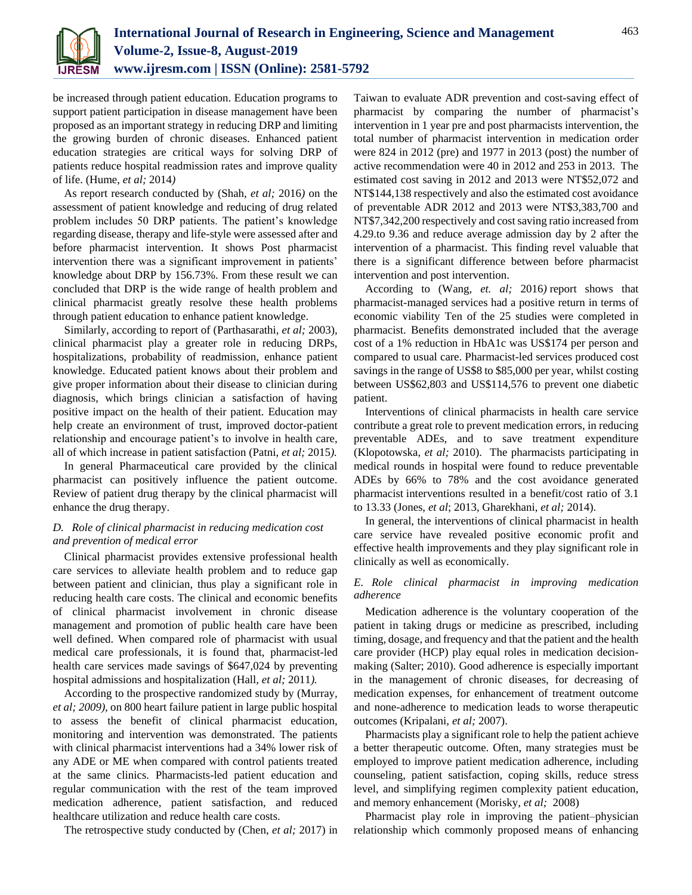

be increased through patient education. Education programs to support patient participation in disease management have been proposed as an important strategy in reducing DRP and limiting the growing burden of chronic diseases. Enhanced patient education strategies are critical ways for solving DRP of patients reduce hospital readmission rates and improve quality of life. (Hume, *et al;* 2014*)*

As report research conducted by (Shah*, et al;* 2016*)* on the assessment of patient knowledge and reducing of drug related problem includes 50 DRP patients. The patient's knowledge regarding disease, therapy and life-style were assessed after and before pharmacist intervention. It shows Post pharmacist intervention there was a significant improvement in patients' knowledge about DRP by 156.73%. From these result we can concluded that DRP is the wide range of health problem and clinical pharmacist greatly resolve these health problems through patient education to enhance patient knowledge.

Similarly, according to report of (Parthasarathi*, et al;* 2003)*,* clinical pharmacist play a greater role in reducing DRPs, hospitalizations, probability of readmission, enhance patient knowledge. Educated patient knows about their problem and give proper information about their disease to clinician during diagnosis, which brings clinician a satisfaction of having positive impact on the health of their patient. Education may help create an environment of trust, improved doctor-patient relationship and encourage patient's to involve in health care, all of which increase in patient satisfaction (Patni, *et al;* 2015*).*

In general Pharmaceutical care provided by the clinical pharmacist can positively influence the patient outcome. Review of patient drug therapy by the clinical pharmacist will enhance the drug therapy.

# *D. Role of clinical pharmacist in reducing medication cost and prevention of medical error*

Clinical pharmacist provides extensive professional health care services to alleviate health problem and to reduce gap between patient and clinician, thus play a significant role in reducing health care costs. The clinical and economic benefits of clinical pharmacist involvement in chronic disease management and promotion of public health care have been well defined. When compared role of pharmacist with usual medical care professionals, it is found that, pharmacist-led health care services made savings of \$647,024 by preventing hospital admissions and hospitalization (Hall*, et al;* 2011*).*

According to the prospective randomized study by (Murray*, et al; 2009),* on 800 heart failure patient in large public hospital to assess the benefit of clinical pharmacist education, monitoring and intervention was demonstrated. The patients with clinical pharmacist interventions had a 34% lower risk of any ADE or ME when compared with control patients treated at the same clinics. Pharmacists-led patient education and regular communication with the rest of the team improved medication adherence, patient satisfaction, and reduced healthcare utilization and reduce health care costs.

The retrospective study conducted by (Chen, *et al;* 2017) in

Taiwan to evaluate ADR prevention and cost-saving effect of pharmacist by comparing the number of pharmacist's intervention in 1 year pre and post pharmacists intervention, the total number of pharmacist intervention in medication order were 824 in 2012 (pre) and 1977 in 2013 (post) the number of active recommendation were 40 in 2012 and 253 in 2013. The estimated cost saving in 2012 and 2013 were NT\$52,072 and NT\$144,138 respectively and also the estimated cost avoidance of preventable ADR 2012 and 2013 were NT\$3,383,700 and NT\$7,342,200 respectively and cost saving ratio increased from 4.29.to 9.36 and reduce average admission day by 2 after the intervention of a pharmacist. This finding revel valuable that there is a significant difference between before pharmacist intervention and post intervention.

According to (Wang*, et. al;* 2016*)* report shows that pharmacist-managed services had a positive return in terms of economic viability Ten of the 25 studies were completed in pharmacist. Benefits demonstrated included that the average cost of a 1% reduction in HbA1c was US\$174 per person and compared to usual care. Pharmacist-led services produced cost savings in the range of US\$8 to \$85,000 per year, whilst costing between US\$62,803 and US\$114,576 to prevent one diabetic patient.

Interventions of clinical pharmacists in health care service contribute a great role to prevent medication errors, in reducing preventable ADEs, and to save treatment expenditure [\(Klopotowska,](https://journals.lww.com/md-journal/fulltext/2017/08250/The_cost_saving_effect_and_prevention_of.40.aspx#R6-40) *et al;* 2010). The pharmacists participating in medical rounds in hospital were found to reduce preventable ADEs by 66% to 78% and the cost avoidance generated pharmacist interventions resulted in a benefit/cost ratio of 3.1 to 13.33 (Jones, *et al*; 2013, Gharekhani, *et al;* 2014).

In general, the interventions of clinical pharmacist in health care service have revealed positive economic profit and effective health improvements and they play significant role in clinically as well as economically.

#### *E. Role clinical pharmacist in improving medication adherence*

Medication adherence is the voluntary cooperation of the patient in taking drugs or medicine as prescribed, including timing, dosage, and frequency and that the patient and the health care provider (HCP) play equal roles in medication decisionmaking (Salter; 2010). Good adherence is especially important in the management of chronic diseases, for decreasing of medication expenses, for enhancement of treatment outcome and none-adherence to medication leads to worse therapeutic outcomes (Kripalani*, et al;* 2007).

Pharmacists play a significant role to help the patient achieve a better therapeutic outcome. Often, many strategies must be employed to improve patient medication adherence, including counseling, patient satisfaction, coping skills, reduce stress level, and simplifying regimen complexity patient education, and memory enhancement (Morisky*, et al;* 2008)

Pharmacist play role in improving the patient–physician relationship which commonly proposed means of enhancing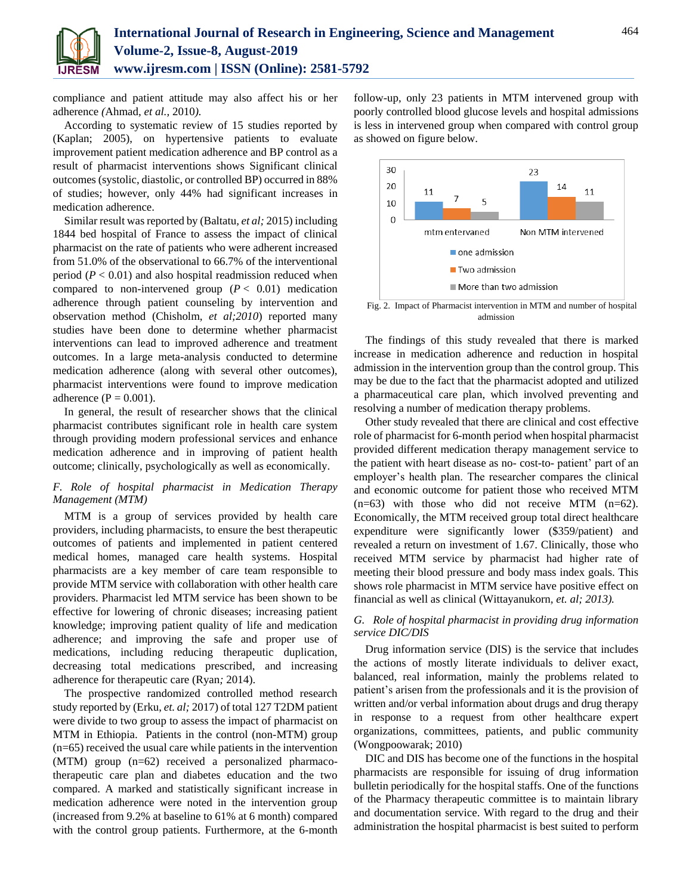

compliance and patient attitude may also affect his or her adherence *(*Ahmad*, et al.,* 2010*).*

According to systematic review of 15 studies reported by (Kaplan; 2005), on hypertensive patients to evaluate improvement patient medication adherence and BP control as a result of pharmacist interventions shows Significant clinical outcomes (systolic, diastolic, or controlled BP) occurred in 88% of studies; however, only 44% had significant increases in medication adherence.

Similar result was reported by (Baltatu*, et al;* 2015) including 1844 bed hospital of France to assess the impact of clinical pharmacist on the rate of patients who were adherent increased from 51.0% of the observational to 66.7% of the interventional period  $(P < 0.01)$  and also hospital readmission reduced when compared to non-intervened group  $(P < 0.01)$  medication adherence through patient counseling by intervention and observation method (Chisholm, *et al;2010*) reported many studies have been done to determine whether pharmacist interventions can lead to improved adherence and treatment outcomes. In a large meta-analysis conducted to determine medication adherence (along with several other outcomes), pharmacist interventions were found to improve medication adherence ( $P = 0.001$ ).

In general, the result of researcher shows that the clinical pharmacist contributes significant role in health care system through providing modern professional services and enhance medication adherence and in improving of patient health outcome; clinically, psychologically as well as economically.

# *F. Role of hospital pharmacist in Medication Therapy Management (MTM)*

MTM is a group of services provided by health care providers, including pharmacists, to ensure the best therapeutic outcomes of patients and implemented in patient centered medical homes, managed care health systems. Hospital pharmacists are a key member of care team responsible to provide MTM service with collaboration with other health care providers. Pharmacist led MTM service has been shown to be effective for lowering of chronic diseases; increasing patient knowledge; improving patient quality of life and medication adherence; and improving the safe and proper use of medications, including reducing therapeutic duplication, decreasing total medications prescribed, and increasing adherence for therapeutic care (Ryan*;* 2014).

The prospective randomized controlled method research study reported by (Erku, *et. al;* 2017) of total 127 T2DM patient were divide to two group to assess the impact of pharmacist on MTM in Ethiopia. Patients in the control (non-MTM) group (n=65) received the usual care while patients in the intervention (MTM) group (n=62) received a personalized pharmacotherapeutic care plan and diabetes education and the two compared. A marked and statistically significant increase in medication adherence were noted in the intervention group (increased from 9.2% at baseline to 61% at 6 month) compared with the control group patients. Furthermore, at the 6-month

follow-up, only 23 patients in MTM intervened group with poorly controlled blood glucose levels and hospital admissions is less in intervened group when compared with control group as showed on figure below.



Fig. 2. Impact of Pharmacist intervention in MTM and number of hospital admission

The findings of this study revealed that there is marked increase in medication adherence and reduction in hospital admission in the intervention group than the control group. This may be due to the fact that the pharmacist adopted and utilized a pharmaceutical care plan, which involved preventing and resolving a number of medication therapy problems.

Other study revealed that there are clinical and cost effective role of pharmacist for 6-month period when hospital pharmacist provided different medication therapy management service to the patient with heart disease as no- cost-to- patient' part of an employer's health plan. The researcher compares the clinical and economic outcome for patient those who received MTM  $(n=63)$  with those who did not receive MTM  $(n=62)$ . Economically, the MTM received group total direct healthcare expenditure were significantly lower (\$359/patient) and revealed a return on investment of 1.67. Clinically, those who received MTM service by pharmacist had higher rate of meeting their blood pressure and body mass index goals. This shows role pharmacist in MTM service have positive effect on financial as well as clinical (Wittayanukorn*, et. al; 2013).*

## *G. Role of hospital pharmacist in providing drug information service DIC/DIS*

Drug information service (DIS) is the service that includes the actions of mostly literate individuals to deliver exact, balanced, real information, mainly the problems related to patient's arisen from the professionals and it is the provision of written and/or verbal information about drugs and drug therapy in response to a request from other healthcare expert organizations, committees, patients, and public community (Wongpoowarak; 2010)

DIC and DIS has become one of the functions in the hospital pharmacists are responsible for issuing of drug information bulletin periodically for the hospital staffs. One of the functions of the Pharmacy therapeutic committee is to maintain library and documentation service. With regard to the drug and their administration the hospital pharmacist is best suited to perform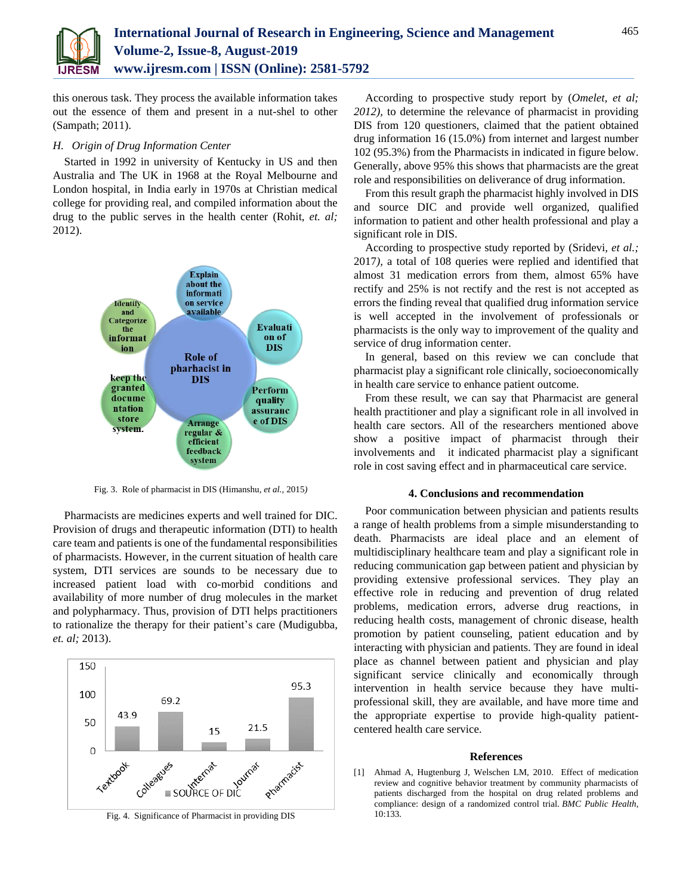

this onerous task. They process the available information takes out the essence of them and present in a nut-shel to other (Sampath; 2011).

#### *H. Origin of Drug Information Center*

Started in 1992 in university of Kentucky in US and then Australia and The UK in 1968 at the Royal Melbourne and London hospital, in India early in 1970s at Christian medical college for providing real, and compiled information about the drug to the public serves in the health center (Rohit, *et. al;* 2012).



Fig. 3. Role of pharmacist in DIS (Himanshu*, et al.,* 2015*)*

Pharmacists are medicines experts and well trained for DIC. Provision of drugs and therapeutic information (DTI) to health care team and patients is one of the fundamental responsibilities of pharmacists. However, in the current situation of health care system, DTI services are sounds to be necessary due to increased patient load with co-morbid conditions and availability of more number of drug molecules in the market and polypharmacy. Thus, provision of DTI helps practitioners to rationalize the therapy for their patient's care (Mudigubba*, et. al;* 2013).



Fig. 4. Significance of Pharmacist in providing DIS

According to prospective study report by (*Omelet, et al; 2012),* to determine the relevance of pharmacist in providing DIS from 120 questioners, claimed that the patient obtained drug information 16 (15.0%) from internet and largest number 102 (95.3%) from the Pharmacists in indicated in figure below. Generally, above 95% this shows that pharmacists are the great role and responsibilities on deliverance of drug information.

From this result graph the pharmacist highly involved in DIS and source DIC and provide well organized, qualified information to patient and other health professional and play a significant role in DIS.

According to prospective study reported by (Sridevi*, et al.;* 2017*),* a total of 108 queries were replied and identified that almost 31 medication errors from them, almost 65% have rectify and 25% is not rectify and the rest is not accepted as errors the finding reveal that qualified drug information service is well accepted in the involvement of professionals or pharmacists is the only way to improvement of the quality and service of drug information center.

In general, based on this review we can conclude that pharmacist play a significant role clinically, socioeconomically in health care service to enhance patient outcome.

From these result, we can say that Pharmacist are general health practitioner and play a significant role in all involved in health care sectors. All of the researchers mentioned above show a positive impact of pharmacist through their involvements and it indicated pharmacist play a significant role in cost saving effect and in pharmaceutical care service.

#### **4. Conclusions and recommendation**

Poor communication between physician and patients results a range of health problems from a simple misunderstanding to death. Pharmacists are ideal place and an element of multidisciplinary healthcare team and play a significant role in reducing communication gap between patient and physician by providing extensive professional services. They play an effective role in reducing and prevention of drug related problems, medication errors, adverse drug reactions, in reducing health costs, management of chronic disease, health promotion by patient counseling, patient education and by interacting with physician and patients. They are found in ideal place as channel between patient and physician and play significant service clinically and economically through intervention in health service because they have multiprofessional skill, they are available, and have more time and the appropriate expertise to provide high-quality patientcentered health care service.

#### **References**

[1] Ahmad A, Hugtenburg J, Welschen LM, 2010. Effect of medication review and cognitive behavior treatment by community pharmacists of patients discharged from the hospital on drug related problems and compliance: design of a randomized control trial. *BMC Public Health*, 10:133.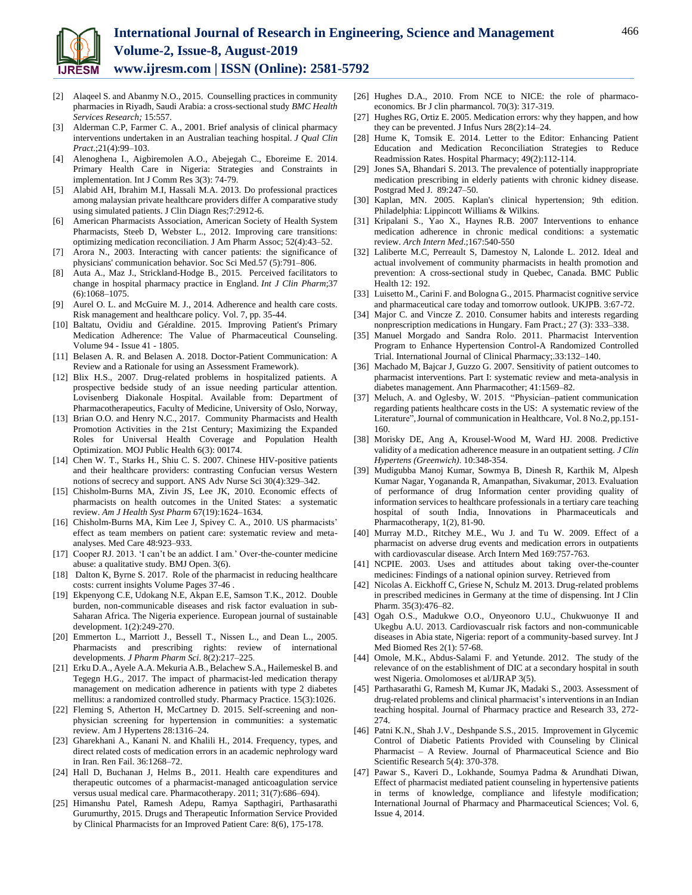

# **International Journal of Research in Engineering, Science and Management Volume-2, Issue-8, August-2019 www.ijresm.com | ISSN (Online): 2581-5792**

- [2] Alaqeel S. and Abanmy N.O., 2015. Counselling practices in community pharmacies in Riyadh, Saudi Arabia: a cross-sectional study *BMC Health Services Research;* 15:557.
- Alderman C.P, Farmer C. A., 2001. Brief analysis of clinical pharmacy interventions undertaken in an Australian teaching hospital. *J Qual Clin Pract*.;21(4):99–103.
- [4] Alenoghena I., Aigbiremolen A.O., Abejegah C., Eboreime E. 2014. Primary Health Care in Nigeria: Strategies and Constraints in implementation. Int J Comm Res 3(3): 74-79.
- [5] Alabid AH, Ibrahim M.I, Hassali M.A. 2013. Do professional practices among malaysian private healthcare providers differ A comparative study using simulated patients. J Clin Diagn Res;7:2912-6.
- [6] American Pharmacists Association, American Society of Health System Pharmacists, Steeb D, Webster L., 2012. Improving care transitions: optimizing medication reconciliation. J Am Pharm Assoc; 52(4):43–52.
- [7] Arora N., 2003. Interacting with cancer patients: the significance of physicians' communication behavior. Soc Sci Med.57 (5):791–806.
- [8] Auta A., Maz J., Strickland-Hodge B., 2015. Perceived facilitators to change in hospital pharmacy practice in England. *Int J Clin Pharm*;37 (6):1068–1075.
- [9] Aurel O. L. and McGuire M. J., 2014. Adherence and health care costs. Risk management and healthcare policy. Vol. 7, pp. 35-44.
- [10] Baltatu, Ovidiu and Géraldine. 2015. Improving Patient's Primary Medication Adherence: The Value of Pharmaceutical Counseling. [Volume 94 -](https://journals.lww.com/md-journal/toc/2015/10020) Issue 41 - 1805.
- [11] Belasen A. R. and Belasen A. 2018. Doctor-Patient Communication: A Review and a Rationale for using an Assessment Framework).
- [12] Blix H.S., 2007. Drug-related problems in hospitalized patients. A prospective bedside study of an issue needing particular attention. Lovisenberg Diakonale Hospital. Available from: Department of Pharmacotherapeutics, Faculty of Medicine, University of Oslo, Norway,
- [13] Brian O.O. and Henry N.C., 2017. Community Pharmacists and Health Promotion Activities in the 21st Century; Maximizing the Expanded Roles for Universal Health Coverage and Population Health Optimization. MOJ Public Health 6(3): 00174.
- [14] Chen W. T., Starks H., Shiu C. S. 2007. Chinese HIV-positive patients and their healthcare providers: contrasting Confucian versus Western notions of secrecy and support. ANS Adv Nurse Sci 30(4):329–342.
- [15] Chisholm-Burns MA, Zivin JS, Lee JK, 2010. Economic effects of pharmacists on health outcomes in the United States: a systematic review. *Am J Health Syst Pharm* 67(19):1624–1634.
- [16] Chisholm-Burns MA, Kim Lee J, Spivey C. A., 2010. US pharmacists' effect as team members on patient care: systematic review and metaanalyses. Med Care 48:923–933.
- [17] Cooper RJ. 2013. 'I can't be an addict. I am.' Over-the-counter medicine abuse: a qualitative study. BMJ Open. 3(6).
- [18] Dalton K, Byrne S. 2017. Role of the pharmacist in reducing healthcare costs: current insights Volume Pages 37-46 .
- [19] Ekpenyong C.E, Udokang N.E, Akpan E.E, Samson T.K., 2012. Double burden, non-communicable diseases and risk factor evaluation in sub-Saharan Africa. The Nigeria experience. European journal of sustainable development. 1(2):249-270.
- [20] Emmerton L., Marriott J., Bessell T., Nissen L., and Dean L., 2005. Pharmacists and prescribing rights: review of international developments. *J Pharm Pharm Sci*. 8(2):217–225.
- [21] Erku D.A., Ayele A.A. Mekuria A.B., Belachew S.A., Hailemeskel B. and Tegegn H.G., 2017. The impact of pharmacist-led medication therapy management on medication adherence in patients with type 2 diabetes mellitus: a randomized controlled study. Pharmacy Practice. 15(3):1026.
- [22] Fleming S, Atherton H, McCartney D. 2015. Self-screening and nonphysician screening for hypertension in communities: a systematic review. Am J Hypertens 28:1316–24.
- [23] Gharekhani A., Kanani N. and Khalili H., 2014. Frequency, types, and direct related costs of medication errors in an academic nephrology ward in Iran. Ren Fail. 36:1268–72.
- [24] Hall D, Buchanan J, Helms B., 2011. Health care expenditures and therapeutic outcomes of a pharmacist-managed anticoagulation service versus usual medical care. Pharmacotherapy. 2011; 31(7):686–694).
- [25] Himanshu Patel, Ramesh Adepu, Ramya Sapthagiri, Parthasarathi Gurumurthy, 2015. Drugs and Therapeutic Information Service Provided by Clinical Pharmacists for an Improved Patient Care: 8(6), 175-178.
- [26] Hughes D.A., 2010. From NCE to NICE: the role of pharmacoeconomics. Br J clin pharmancol. 70(3): 317-319.
- [27] Hughes RG, Ortiz E. 2005. Medication errors: why they happen, and how they can be prevented. J Infus Nurs 28(2):14–24.
- [28] Hume K, Tomsik E. 2014. Letter to the Editor: Enhancing Patient Education and Medication Reconciliation Strategies to Reduce Readmission Rates. Hospital Pharmacy; 49(2):112-114.
- [29] Jones SA, Bhandari S. 2013. The prevalence of potentially inappropriate medication prescribing in elderly patients with chronic kidney disease. Postgrad Med J. 89:247–50.
- [30] Kaplan, MN. 2005. Kaplan's clinical hypertension; 9th edition. Philadelphia: Lippincott Williams & Wilkins.
- [31] Kripalani S., Yao X., Haynes R.B. 2007 Interventions to enhance medication adherence in chronic medical conditions: a systematic review. *Arch Intern Med*.;167:540-550
- [32] Laliberte M.C, Perreault S, Damestoy N, Lalonde L. 2012. Ideal and actual involvement of community pharmacists in health promotion and prevention: A cross-sectional study in Quebec, Canada. BMC Public Health 12: 192.
- [33] Luisetto M., Carini F. and Bologna G., 2015. Pharmacist cognitive service and pharmaceutical care today and tomorrow outlook. UKJPB. 3:67-72.
- [34] Major C. and Vincze Z. 2010. Consumer habits and interests regarding nonprescription medications in Hungary. Fam Pract.; 27 (3): 333–338.
- [35] Manuel Morgado and Sandra Rolo. 2011. Pharmacist Intervention Program to Enhance Hypertension Control-A Randomized Controlled Trial. International Journal of Clinical Pharmacy;.33:132–140.
- [36] Machado M, Bajcar J, Guzzo G. 2007. Sensitivity of patient outcomes to pharmacist interventions. Part I: systematic review and meta-analysis in diabetes management. Ann Pharmacother; 41:1569–82.
- [37] Meluch, A. and Oglesby, W. 2015. "Physician–patient communication regarding patients healthcare costs in the US: A systematic review of the Literature", Journal of communication in Healthcare, Vol. 8 No.2, pp.151- 160.
- [38] Morisky DE, Ang A, Krousel-Wood M, Ward HJ. 2008. Predictive validity of a medication adherence measure in an outpatient setting. *J Clin Hypertens (Greenwich)*. 10:348-354.
- [39] Mudigubba Manoj Kumar, Sowmya B, Dinesh R, Karthik M, Alpesh Kumar Nagar, Yogananda R, Amanpathan, Sivakumar, 2013. Evaluation of performance of drug Information center providing quality of information services to healthcare professionals in a tertiary care teaching hospital of south India, Innovations in Pharmaceuticals and Pharmacotherapy, 1(2), 81-90.
- [40] Murray M.D., Ritchey M.E., Wu J. and Tu W. 2009. Effect of a pharmacist on adverse drug events and medication errors in outpatients with cardiovascular disease. Arch Intern Med 169:757-763.
- [41] NCPIE. 2003. Uses and attitudes about taking over-the-counter medicines: Findings of a national opinion survey. Retrieved from
- [42] Nicolas A. Eickhoff C, Griese N, Schulz M. 2013. Drug-related problems in prescribed medicines in Germany at the time of dispensing. Int J Clin Pharm. 35(3):476–82.
- [43] Ogah O.S., Madukwe O.O., Onyeonoro U.U., Chukwuonye II and Ukegbu A.U. 2013. Cardiovascualr risk factors and non-communicable diseases in Abia state, Nigeria: report of a community-based survey. Int J Med Biomed Res 2(1): 57-68.
- [44] Omole, M.K., Abdus-Salami F. and Yetunde. 2012. The study of the relevance of on the establishment of DIC at a secondary hospital in south west Nigeria. Omolomoses et al/IJRAP 3(5).
- [45] Parthasarathi G, Ramesh M, Kumar JK, Madaki S., 2003. Assessment of drug-related problems and clinical pharmacist's interventions in an Indian teaching hospital. Journal of Pharmacy practice and Research 33, 272- 274.
- [46] Patni K.N., Shah J.V., Deshpande S.S., 2015. Improvement in Glycemic Control of Diabetic Patients Provided with Counseling by Clinical Pharmacist – A Review. Journal of Pharmaceutical Science and Bio Scientific Research 5(4): 370-378*.*
- [47] Pawar S., Kaveri D., Lokhande, Soumya Padma & Arundhati Diwan, Effect of pharmacist mediated patient counseling in hypertensive patients in terms of knowledge, compliance and lifestyle modification; International Journal of Pharmacy and Pharmaceutical Sciences; Vol. 6, Issue 4, 2014.